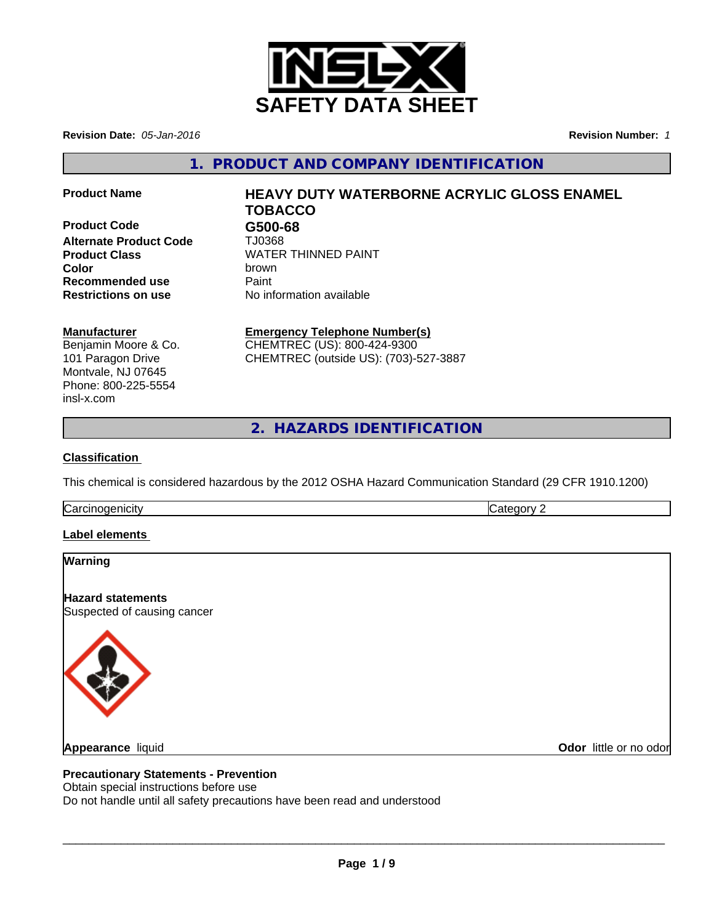

**Revision Date:** *05-Jan-2016* **Revision Number:** *1*

**1. PRODUCT AND COMPANY IDENTIFICATION**

**Product Code G500-68 Alternate Product Code** TJ0368 **Recommended use** Paint<br> **Restrictions on use** No inf

# **Product Name HEAVY DUTY WATERBORNE ACRYLIC GLOSS ENAMEL TOBACCO**

**Product Class** WATER THINNED PAINT **Color** brown **No information available** 

### **Manufacturer**

Benjamin Moore & Co. 101 Paragon Drive Montvale, NJ 07645 Phone: 800-225-5554 insl-x.com

## **Emergency Telephone Number(s)**

CHEMTREC (US): 800-424-9300 CHEMTREC (outside US): (703)-527-3887

**2. HAZARDS IDENTIFICATION**

## **Classification**

This chemical is considered hazardous by the 2012 OSHA Hazard Communication Standard (29 CFR 1910.1200)

**Carcinogenicity** Carcinogenicity **Category 2** 

### **Label elements**

## **Warning**

**Hazard statements** Suspected of causing cancer



**Appearance** liquid

**Odor** little or no odor

### **Precautionary Statements - Prevention**

Obtain special instructions before use

Do not handle until all safety precautions have been read and understood

 $\overline{\phantom{a}}$  ,  $\overline{\phantom{a}}$  ,  $\overline{\phantom{a}}$  ,  $\overline{\phantom{a}}$  ,  $\overline{\phantom{a}}$  ,  $\overline{\phantom{a}}$  ,  $\overline{\phantom{a}}$  ,  $\overline{\phantom{a}}$  ,  $\overline{\phantom{a}}$  ,  $\overline{\phantom{a}}$  ,  $\overline{\phantom{a}}$  ,  $\overline{\phantom{a}}$  ,  $\overline{\phantom{a}}$  ,  $\overline{\phantom{a}}$  ,  $\overline{\phantom{a}}$  ,  $\overline{\phantom{a}}$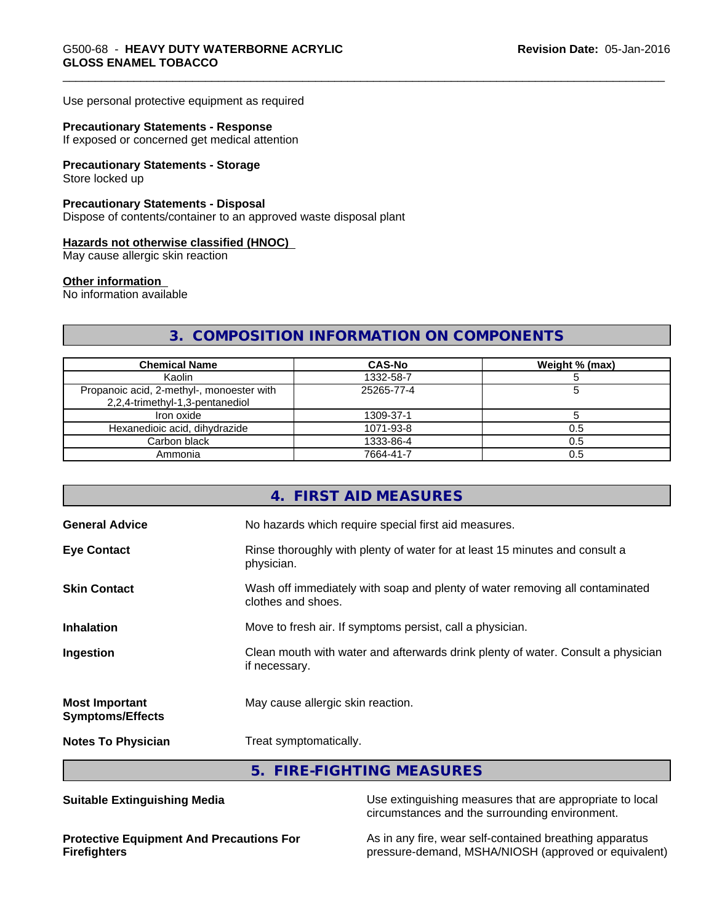Use personal protective equipment as required

#### **Precautionary Statements - Response**

If exposed or concerned get medical attention

## **Precautionary Statements - Storage**

Store locked up

#### **Precautionary Statements - Disposal**

Dispose of contents/container to an approved waste disposal plant

#### **Hazards not otherwise classified (HNOC)**

May cause allergic skin reaction

#### **Other information**

No information available

## **3. COMPOSITION INFORMATION ON COMPONENTS**

| <b>Chemical Name</b>                                                         | <b>CAS-No</b> | Weight % (max) |
|------------------------------------------------------------------------------|---------------|----------------|
| Kaolin                                                                       | 1332-58-7     |                |
| Propanoic acid, 2-methyl-, monoester with<br>2,2,4-trimethyl-1,3-pentanediol | 25265-77-4    |                |
| Iron oxide                                                                   | 1309-37-1     |                |
| Hexanedioic acid, dihydrazide                                                | 1071-93-8     | U.5            |
| Carbon black                                                                 | 1333-86-4     | 0.5            |
| Ammonia                                                                      | 7664-41-7     |                |

|                                                  | 4. FIRST AID MEASURES                                                                              |
|--------------------------------------------------|----------------------------------------------------------------------------------------------------|
| <b>General Advice</b>                            | No hazards which require special first aid measures.                                               |
| <b>Eye Contact</b>                               | Rinse thoroughly with plenty of water for at least 15 minutes and consult a<br>physician.          |
| <b>Skin Contact</b>                              | Wash off immediately with soap and plenty of water removing all contaminated<br>clothes and shoes. |
| <b>Inhalation</b>                                | Move to fresh air. If symptoms persist, call a physician.                                          |
| Ingestion                                        | Clean mouth with water and afterwards drink plenty of water. Consult a physician<br>if necessary.  |
| <b>Most Important</b><br><b>Symptoms/Effects</b> | May cause allergic skin reaction.                                                                  |
| <b>Notes To Physician</b>                        | Treat symptomatically.                                                                             |
|                                                  | 5. FIRE-FIGHTING MEASURES                                                                          |

**Suitable Extinguishing Media** Media Use extinguishing measures that are appropriate to local circumstances and the surrounding environment.

**Protective Equipment And Precautions For Firefighters**

As in any fire, wear self-contained breathing apparatus pressure-demand, MSHA/NIOSH (approved or equivalent)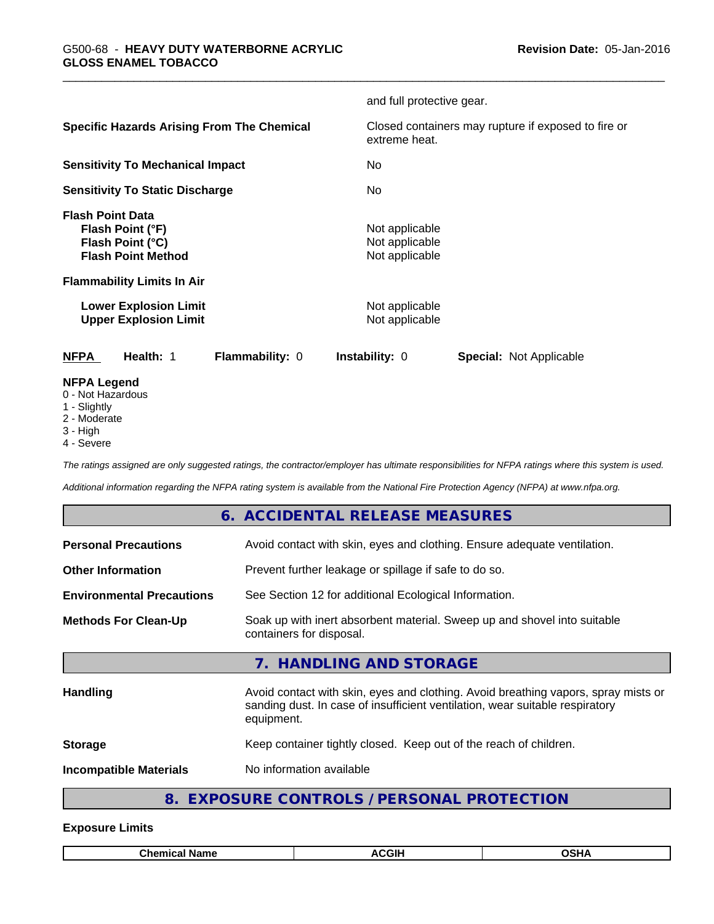|                                                                                                                                   | and full protective gear.                                            |
|-----------------------------------------------------------------------------------------------------------------------------------|----------------------------------------------------------------------|
| <b>Specific Hazards Arising From The Chemical</b>                                                                                 | Closed containers may rupture if exposed to fire or<br>extreme heat. |
| <b>Sensitivity To Mechanical Impact</b>                                                                                           | No                                                                   |
| <b>Sensitivity To Static Discharge</b>                                                                                            | No                                                                   |
| <b>Flash Point Data</b><br>Flash Point (°F)<br>Flash Point (°C)<br><b>Flash Point Method</b><br><b>Flammability Limits In Air</b> | Not applicable<br>Not applicable<br>Not applicable                   |
| <b>Lower Explosion Limit</b><br><b>Upper Explosion Limit</b>                                                                      | Not applicable<br>Not applicable                                     |
| Flammability: 0<br><b>NFPA</b><br>Health: 1                                                                                       | <b>Instability: 0</b><br><b>Special: Not Applicable</b>              |
| <b>NFPA Legend</b><br>0 - Not Hazardous<br>1 - Slightly<br>2 - Moderate<br>3 - High<br>4 - Severe                                 |                                                                      |

*The ratings assigned are only suggested ratings, the contractor/employer has ultimate responsibilities for NFPA ratings where this system is used.*

*Additional information regarding the NFPA rating system is available from the National Fire Protection Agency (NFPA) at www.nfpa.org.*

## **6. ACCIDENTAL RELEASE MEASURES**

| <b>Personal Precautions</b>      | Avoid contact with skin, eyes and clothing. Ensure adequate ventilation.                                                                                                         |
|----------------------------------|----------------------------------------------------------------------------------------------------------------------------------------------------------------------------------|
| <b>Other Information</b>         | Prevent further leakage or spillage if safe to do so.                                                                                                                            |
| <b>Environmental Precautions</b> | See Section 12 for additional Ecological Information.                                                                                                                            |
| <b>Methods For Clean-Up</b>      | Soak up with inert absorbent material. Sweep up and shovel into suitable<br>containers for disposal.                                                                             |
|                                  | 7. HANDLING AND STORAGE                                                                                                                                                          |
| Handling                         | Avoid contact with skin, eyes and clothing. Avoid breathing vapors, spray mists or<br>sanding dust. In case of insufficient ventilation, wear suitable respiratory<br>equipment. |
| <b>Storage</b>                   | Keep container tightly closed. Keep out of the reach of children.                                                                                                                |
| <b>Incompatible Materials</b>    | No information available                                                                                                                                                         |
|                                  |                                                                                                                                                                                  |

## **8. EXPOSURE CONTROLS / PERSONAL PROTECTION**

#### **Exposure Limits**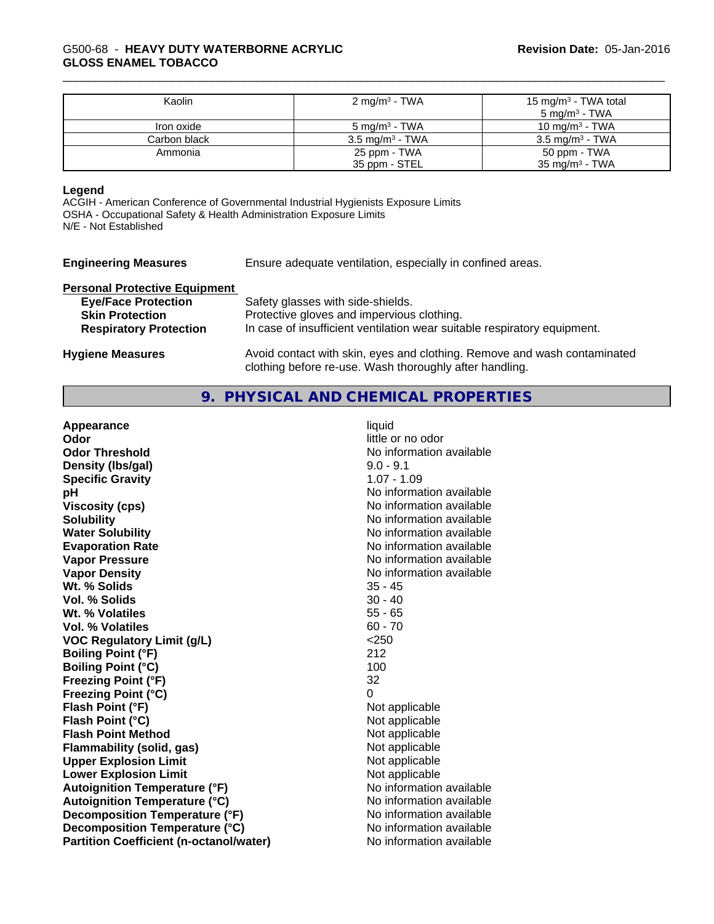#### \_\_\_\_\_\_\_\_\_\_\_\_\_\_\_\_\_\_\_\_\_\_\_\_\_\_\_\_\_\_\_\_\_\_\_\_\_\_\_\_\_\_\_\_\_\_\_\_\_\_\_\_\_\_\_\_\_\_\_\_\_\_\_\_\_\_\_\_\_\_\_\_\_\_\_\_\_\_\_\_\_\_\_\_\_\_\_\_\_\_\_\_\_ G500-68 - **HEAVY DUTY WATERBORNE ACRYLIC GLOSS ENAMEL TOBACCO**

| Kaolin       | 2 mg/m <sup>3</sup> - TWA  | 15 mg/m <sup>3</sup> - TWA total<br>5 mg/m <sup>3</sup> - TWA |
|--------------|----------------------------|---------------------------------------------------------------|
| Iron oxide   | $5 \text{ mg/m}^3$ - TWA   | 10 mg/m $3$ - TWA                                             |
| Carbon black | $3.5 \text{ mg/m}^3$ - TWA | $3.5 \text{ ma/m}^3$ - TWA                                    |
| Ammonia      | 25 ppm - TWA               | 50 ppm - TWA                                                  |
|              | 35 ppm - STEL              | $35 \text{ mg/m}^3$ - TWA                                     |

#### **Legend**

ACGIH - American Conference of Governmental Industrial Hygienists Exposure Limits OSHA - Occupational Safety & Health Administration Exposure Limits N/E - Not Established

| <b>Engineering Measures</b> | Ensure adequate ventilation, especially in confined areas. |
|-----------------------------|------------------------------------------------------------|
|                             |                                                            |

| <b>Personal Protective Equipment</b> |                                                                          |
|--------------------------------------|--------------------------------------------------------------------------|
| <b>Eye/Face Protection</b>           | Safety glasses with side-shields.                                        |
| <b>Skin Protection</b>               | Protective gloves and impervious clothing.                               |
| <b>Respiratory Protection</b>        | In case of insufficient ventilation wear suitable respiratory equipment. |
| <b>Hygiene Measures</b>              | Avoid contact with skin, eyes and clothing. Remove and wash contaminated |

## **9. PHYSICAL AND CHEMICAL PROPERTIES**

clothing before re-use. Wash thoroughly after handling.

| Appearance                                     | liquid                   |
|------------------------------------------------|--------------------------|
| Odor                                           | little or no odor        |
| <b>Odor Threshold</b>                          | No information available |
| Density (Ibs/gal)                              | $9.0 - 9.1$              |
| <b>Specific Gravity</b>                        | $1.07 - 1.09$            |
| рH                                             | No information available |
| <b>Viscosity (cps)</b>                         | No information available |
| <b>Solubility</b>                              | No information available |
| <b>Water Solubility</b>                        | No information available |
| <b>Evaporation Rate</b>                        | No information available |
| <b>Vapor Pressure</b>                          | No information available |
| <b>Vapor Density</b>                           | No information available |
| Wt. % Solids                                   | $35 - 45$                |
| Vol. % Solids                                  | $30 - 40$                |
| Wt. % Volatiles                                | $55 - 65$                |
| <b>Vol. % Volatiles</b>                        | $60 - 70$                |
| <b>VOC Regulatory Limit (g/L)</b>              | $<$ 250                  |
| <b>Boiling Point (°F)</b>                      | 212                      |
| <b>Boiling Point (°C)</b>                      | 100                      |
| <b>Freezing Point (°F)</b>                     | 32                       |
| <b>Freezing Point (°C)</b>                     | 0                        |
| Flash Point (°F)                               | Not applicable           |
| Flash Point (°C)                               | Not applicable           |
| <b>Flash Point Method</b>                      | Not applicable           |
| Flammability (solid, gas)                      | Not applicable           |
| <b>Upper Explosion Limit</b>                   | Not applicable           |
| <b>Lower Explosion Limit</b>                   | Not applicable           |
| <b>Autoignition Temperature (°F)</b>           | No information available |
| <b>Autoignition Temperature (°C)</b>           | No information available |
| Decomposition Temperature (°F)                 | No information available |
| Decomposition Temperature (°C)                 | No information available |
| <b>Partition Coefficient (n-octanol/water)</b> | No information available |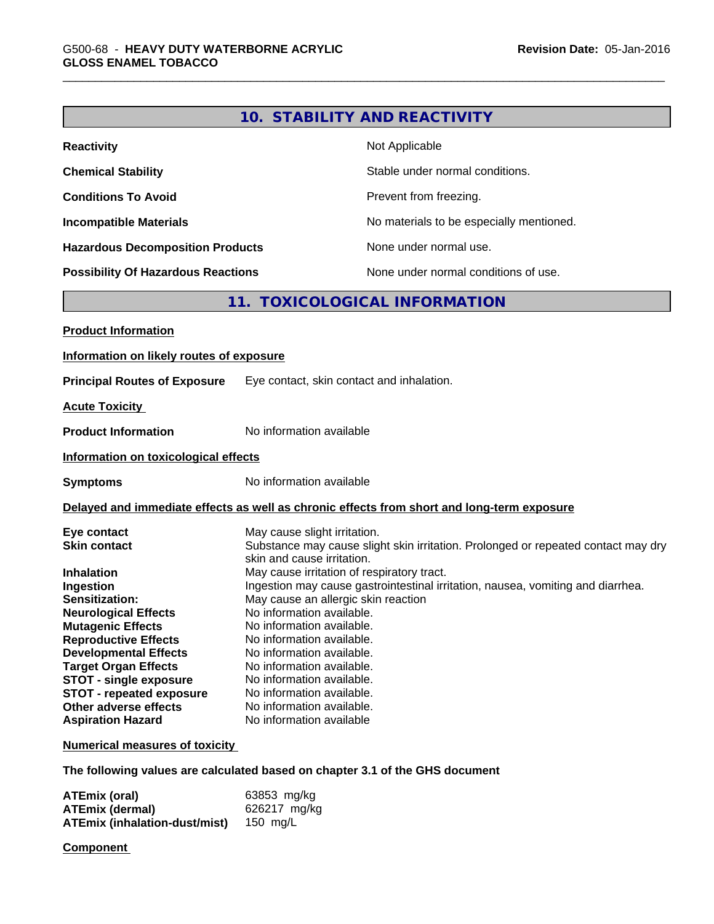|                                                                                                                                                                                      |                                                                                                                                                                                                                                        | 10. STABILITY AND REACTIVITY                                                                                                                                         |
|--------------------------------------------------------------------------------------------------------------------------------------------------------------------------------------|----------------------------------------------------------------------------------------------------------------------------------------------------------------------------------------------------------------------------------------|----------------------------------------------------------------------------------------------------------------------------------------------------------------------|
| <b>Reactivity</b>                                                                                                                                                                    |                                                                                                                                                                                                                                        | Not Applicable                                                                                                                                                       |
| <b>Chemical Stability</b>                                                                                                                                                            |                                                                                                                                                                                                                                        | Stable under normal conditions.                                                                                                                                      |
| <b>Conditions To Avoid</b>                                                                                                                                                           |                                                                                                                                                                                                                                        | Prevent from freezing.                                                                                                                                               |
| <b>Incompatible Materials</b>                                                                                                                                                        |                                                                                                                                                                                                                                        | No materials to be especially mentioned.                                                                                                                             |
| <b>Hazardous Decomposition Products</b>                                                                                                                                              |                                                                                                                                                                                                                                        | None under normal use.                                                                                                                                               |
| <b>Possibility Of Hazardous Reactions</b>                                                                                                                                            |                                                                                                                                                                                                                                        | None under normal conditions of use.                                                                                                                                 |
|                                                                                                                                                                                      |                                                                                                                                                                                                                                        | 11. TOXICOLOGICAL INFORMATION                                                                                                                                        |
| <b>Product Information</b>                                                                                                                                                           |                                                                                                                                                                                                                                        |                                                                                                                                                                      |
| Information on likely routes of exposure                                                                                                                                             |                                                                                                                                                                                                                                        |                                                                                                                                                                      |
| <b>Principal Routes of Exposure</b>                                                                                                                                                  | Eye contact, skin contact and inhalation.                                                                                                                                                                                              |                                                                                                                                                                      |
| <b>Acute Toxicity</b>                                                                                                                                                                |                                                                                                                                                                                                                                        |                                                                                                                                                                      |
| <b>Product Information</b>                                                                                                                                                           | No information available                                                                                                                                                                                                               |                                                                                                                                                                      |
| Information on toxicological effects                                                                                                                                                 |                                                                                                                                                                                                                                        |                                                                                                                                                                      |
| <b>Symptoms</b>                                                                                                                                                                      | No information available                                                                                                                                                                                                               |                                                                                                                                                                      |
|                                                                                                                                                                                      |                                                                                                                                                                                                                                        | Delayed and immediate effects as well as chronic effects from short and long-term exposure                                                                           |
| Eye contact<br><b>Skin contact</b><br><b>Inhalation</b><br>Ingestion<br>Sensitization:<br><b>Neurological Effects</b><br><b>Mutagenic Effects</b><br><b>Reproductive Effects</b>     | May cause slight irritation.<br>skin and cause irritation.<br>May cause irritation of respiratory tract.<br>May cause an allergic skin reaction<br>No information available.<br>No information available.<br>No information available. | Substance may cause slight skin irritation. Prolonged or repeated contact may dry<br>Ingestion may cause gastrointestinal irritation, nausea, vomiting and diarrhea. |
| <b>Developmental Effects</b><br><b>Target Organ Effects</b><br><b>STOT - single exposure</b><br><b>STOT - repeated exposure</b><br>Other adverse effects<br><b>Aspiration Hazard</b> | No information available.<br>No information available.<br>No information available.<br>No information available.<br>No information available.<br>No information available                                                              |                                                                                                                                                                      |
| <b>Numerical measures of toxicity</b>                                                                                                                                                |                                                                                                                                                                                                                                        |                                                                                                                                                                      |
| The following values are calculated based on chapter 3.1 of the GHS document                                                                                                         |                                                                                                                                                                                                                                        |                                                                                                                                                                      |
|                                                                                                                                                                                      |                                                                                                                                                                                                                                        |                                                                                                                                                                      |

| ATEmix (oral)                 | 63853 mg/kg  |
|-------------------------------|--------------|
| ATEmix (dermal)               | 626217 ma/ka |
| ATEmix (inhalation-dust/mist) | 150 ma/L     |

**Component**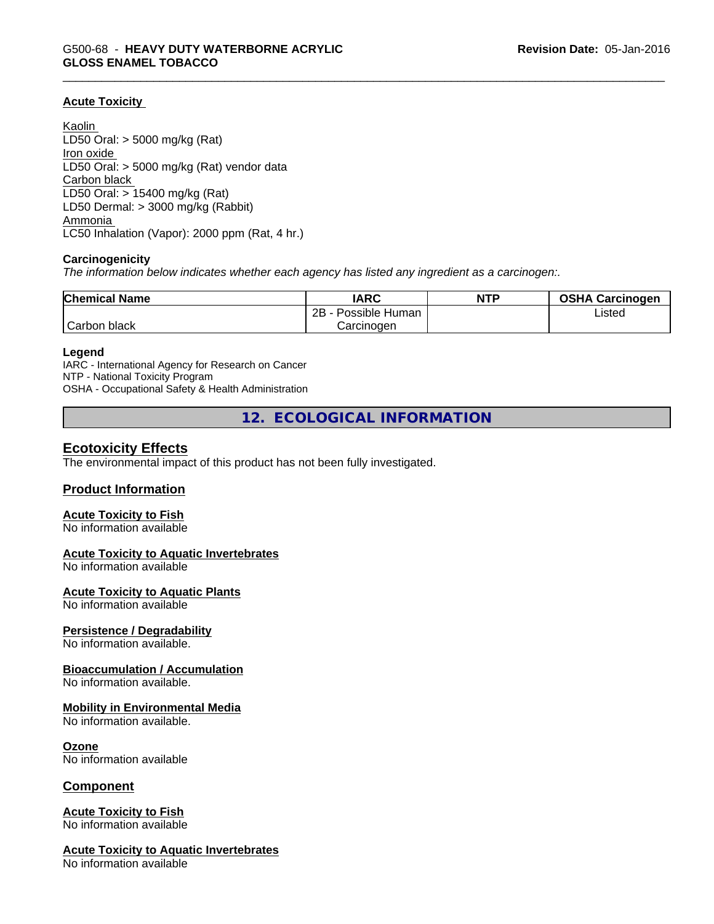### **Acute Toxicity**

Kaolin LD50 Oral: > 5000 mg/kg (Rat) Iron oxide LD50 Oral: > 5000 mg/kg (Rat) vendor data Carbon black LD50 Oral: > 15400 mg/kg (Rat) LD50 Dermal: > 3000 mg/kg (Rabbit) Ammonia LC50 Inhalation (Vapor): 2000 ppm (Rat, 4 hr.)

#### **Carcinogenicity**

*The information below indicateswhether each agency has listed any ingredient as a carcinogen:.*

| <b>Chemical Name</b> | <b>IARC</b>          | <b>NTP</b> | <b>OSHA Carcinogen</b> |
|----------------------|----------------------|------------|------------------------|
|                      | 2B<br>Possible Human |            | Listed                 |
| Carbon<br>black      | Carcinogen           |            |                        |

#### **Legend**

IARC - International Agency for Research on Cancer NTP - National Toxicity Program OSHA - Occupational Safety & Health Administration

**12. ECOLOGICAL INFORMATION**

## **Ecotoxicity Effects**

The environmental impact of this product has not been fully investigated.

#### **Product Information**

#### **Acute Toxicity to Fish**

No information available

#### **Acute Toxicity to Aquatic Invertebrates**

No information available

#### **Acute Toxicity to Aquatic Plants**

No information available

#### **Persistence / Degradability**

No information available.

#### **Bioaccumulation / Accumulation**

No information available.

#### **Mobility in Environmental Media**

No information available.

#### **Ozone**

No information available

#### **Component**

#### **Acute Toxicity to Fish** No information available

### **Acute Toxicity to Aquatic Invertebrates**

No information available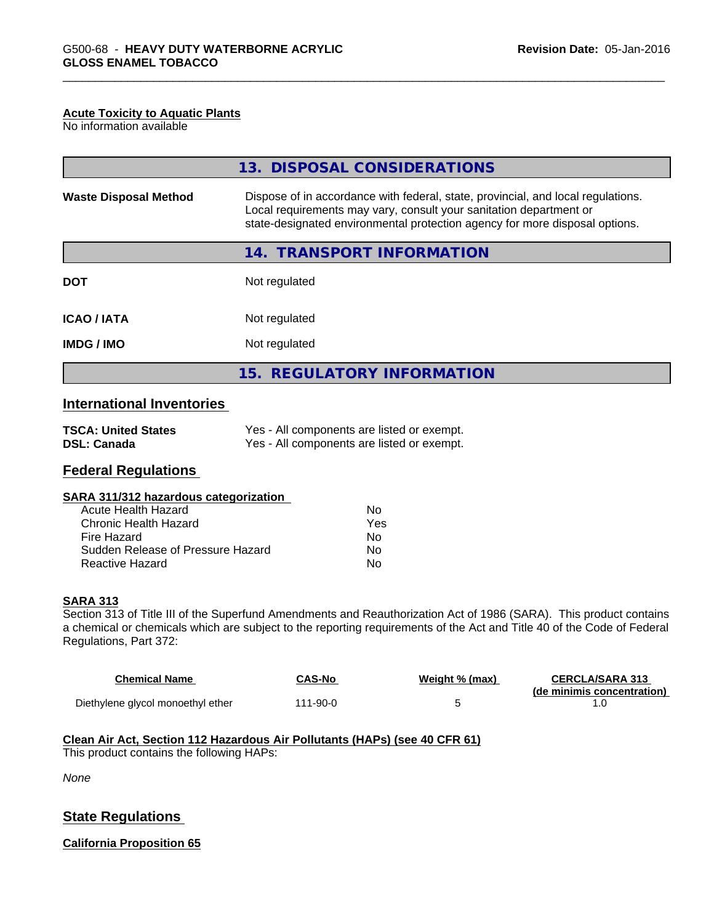#### **Acute Toxicity to Aquatic Plants**

No information available

|                                                                                                                                                                                                                                                                       | 13. DISPOSAL CONSIDERATIONS |  |  |
|-----------------------------------------------------------------------------------------------------------------------------------------------------------------------------------------------------------------------------------------------------------------------|-----------------------------|--|--|
| Dispose of in accordance with federal, state, provincial, and local regulations.<br><b>Waste Disposal Method</b><br>Local requirements may vary, consult your sanitation department or<br>state-designated environmental protection agency for more disposal options. |                             |  |  |
|                                                                                                                                                                                                                                                                       | 14. TRANSPORT INFORMATION   |  |  |
| <b>DOT</b>                                                                                                                                                                                                                                                            | Not regulated               |  |  |
| <b>ICAO/IATA</b>                                                                                                                                                                                                                                                      | Not regulated               |  |  |
| <b>IMDG / IMO</b>                                                                                                                                                                                                                                                     | Not regulated               |  |  |
|                                                                                                                                                                                                                                                                       | 15. REGULATORY INFORMATION  |  |  |

## **International Inventories**

| <b>TSCA: United States</b> | Yes - All components are listed or exempt. |
|----------------------------|--------------------------------------------|
| <b>DSL: Canada</b>         | Yes - All components are listed or exempt. |

## **Federal Regulations**

#### **SARA 311/312 hazardous categorization**

| Acute Health Hazard               | N٥  |
|-----------------------------------|-----|
| Chronic Health Hazard             | Yes |
| Fire Hazard                       | Nο  |
| Sudden Release of Pressure Hazard | N٥  |
| Reactive Hazard                   | N٥  |

### **SARA 313**

Section 313 of Title III of the Superfund Amendments and Reauthorization Act of 1986 (SARA). This product contains a chemical or chemicals which are subject to the reporting requirements of the Act and Title 40 of the Code of Federal Regulations, Part 372:

| <b>Chemical Name</b>              | CAS-No   | Weight % (max) | <b>CERCLA/SARA 313</b><br>(de minimis concentration) |
|-----------------------------------|----------|----------------|------------------------------------------------------|
| Diethylene glycol monoethyl ether | 111-90-0 |                |                                                      |

#### **Clean Air Act,Section 112 Hazardous Air Pollutants (HAPs) (see 40 CFR 61)**

This product contains the following HAPs:

*None*

## **State Regulations**

**California Proposition 65**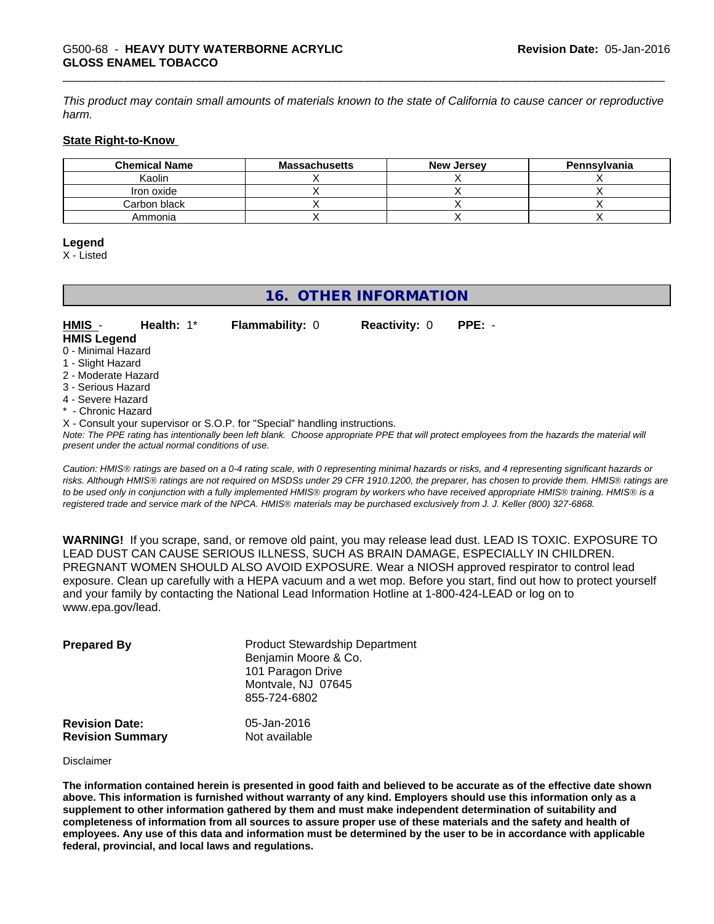This product may contain small amounts of materials known to the state of California to cause cancer or reproductive *harm.*

#### **State Right-to-Know**

| <b>Chemical Name</b> | <b>Massachusetts</b> | <b>New Jersey</b> | Pennsylvania |
|----------------------|----------------------|-------------------|--------------|
| Kaolin               |                      |                   |              |
| Iron oxide           |                      |                   |              |
| Carbon black         |                      |                   |              |
| Ammonia              |                      |                   |              |

#### **Legend**

X - Listed

## **16. OTHER INFORMATION**

## **HMIS** - **Health:** 1\* **Flammability:** 0 **Reactivity:** 0 **PPE:** -

**HMIS Legend**

- 0 Minimal Hazard
- 1 Slight Hazard
- 2 Moderate Hazard
- 3 Serious Hazard
- 4 Severe Hazard
- \* Chronic Hazard

X - Consult your supervisor or S.O.P. for "Special" handling instructions.

*Note: The PPE rating has intentionally been left blank. Choose appropriate PPE that will protect employees from the hazards the material will present under the actual normal conditions of use.*

*Caution: HMISÒ ratings are based on a 0-4 rating scale, with 0 representing minimal hazards or risks, and 4 representing significant hazards or risks. Although HMISÒ ratings are not required on MSDSs under 29 CFR 1910.1200, the preparer, has chosen to provide them. HMISÒ ratings are to be used only in conjunction with a fully implemented HMISÒ program by workers who have received appropriate HMISÒ training. HMISÒ is a registered trade and service mark of the NPCA. HMISÒ materials may be purchased exclusively from J. J. Keller (800) 327-6868.*

**WARNING!** If you scrape, sand, or remove old paint, you may release lead dust. LEAD IS TOXIC. EXPOSURE TO LEAD DUST CAN CAUSE SERIOUS ILLNESS, SUCH AS BRAIN DAMAGE, ESPECIALLY IN CHILDREN. PREGNANT WOMEN SHOULD ALSO AVOID EXPOSURE.Wear a NIOSH approved respirator to control lead exposure. Clean up carefully with a HEPA vacuum and a wet mop. Before you start, find out how to protect yourself and your family by contacting the National Lead Information Hotline at 1-800-424-LEAD or log on to www.epa.gov/lead.

| <b>Prepared By</b>                               | <b>Product Stewardship Department</b><br>Benjamin Moore & Co.<br>101 Paragon Drive<br>Montvale, NJ 07645<br>855-724-6802 |  |
|--------------------------------------------------|--------------------------------------------------------------------------------------------------------------------------|--|
| <b>Revision Date:</b><br><b>Revision Summary</b> | 05-Jan-2016<br>Not available                                                                                             |  |

#### Disclaimer

The information contained herein is presented in good faith and believed to be accurate as of the effective date shown above. This information is furnished without warranty of any kind. Emplovers should use this information only as a **supplement to other information gathered by them and must make independent determination of suitability and** completeness of information from all sources to assure proper use of these materials and the safety and health of employees. Any use of this data and information must be determined by the user to be in accordance with applicable **federal, provincial, and local laws and regulations.**